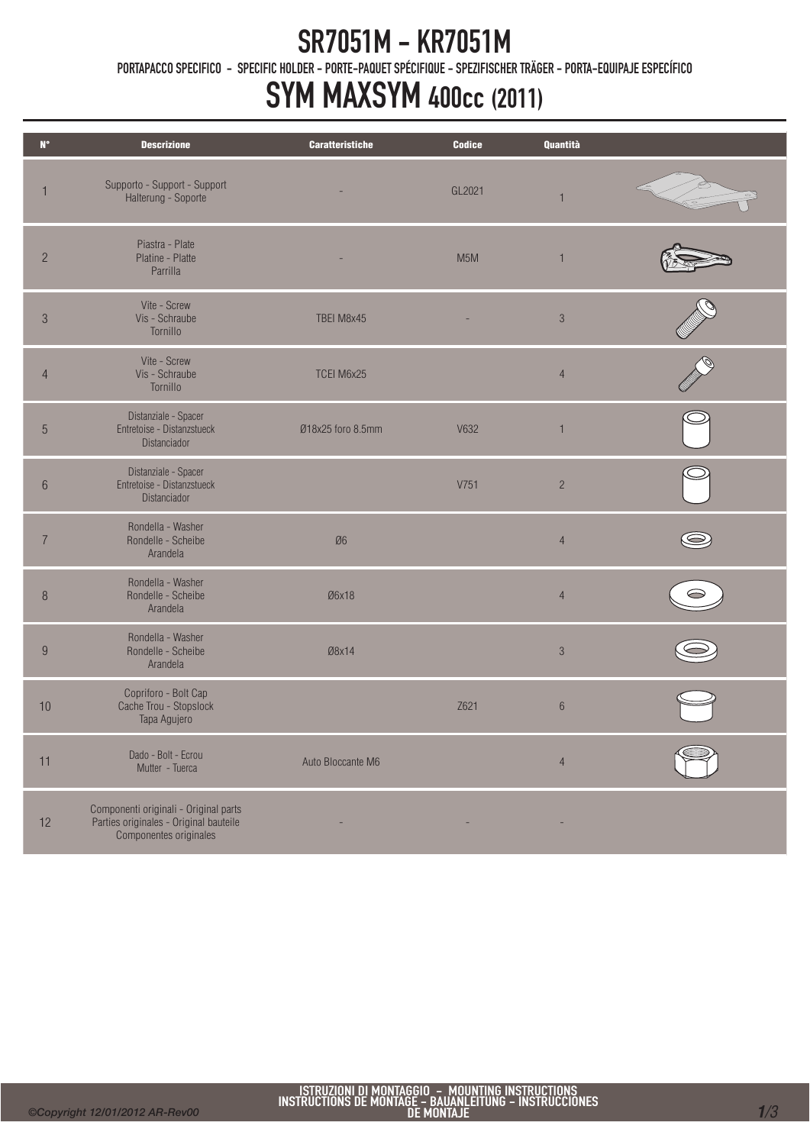### SR7051M - KR7051M

PORTAPACCO SPECIFICO - SPECIFIC HOLDER - PORTE-PAQUET SPÉCIFIQUE - SPEZIFISCHER TRÄGER - PORTA-EQUIPAJE ESPECÍFICO

### SYM MAXSYM 400cc (2011)

| $\mathbf{N}^\circ$ | <b>Descrizione</b>                                                                                        | <b>Caratteristiche</b> | <b>Codice</b>    | Quantità       |  |
|--------------------|-----------------------------------------------------------------------------------------------------------|------------------------|------------------|----------------|--|
| 1                  | Supporto - Support - Support<br>Halterung - Soporte                                                       |                        | GL2021           |                |  |
| $\overline{2}$     | Piastra - Plate<br>Platine - Platte<br>Parrilla                                                           |                        | M <sub>5</sub> M | $\mathbf{1}$   |  |
| $\sqrt{3}$         | Vite - Screw<br>Vis - Schraube<br>Tornillo                                                                | TBEI M8x45             |                  | $\sqrt{3}$     |  |
| $\overline{4}$     | Vite - Screw<br>Vis - Schraube<br>Tornillo                                                                | TCEI M6x25             |                  | $\overline{4}$ |  |
| $\overline{5}$     | Distanziale - Spacer<br>Entretoise - Distanzstueck<br>Distanciador                                        | Ø18x25 foro 8.5mm      | V632             | $\mathbf{1}$   |  |
| $\,6\,$            | Distanziale - Spacer<br>Entretoise - Distanzstueck<br>Distanciador                                        |                        | V751             | $\overline{c}$ |  |
| $\overline{7}$     | Rondella - Washer<br>Rondelle - Scheibe<br>Arandela                                                       | Ø6                     |                  | $\overline{4}$ |  |
| $\, 8$             | Rondella - Washer<br>Rondelle - Scheibe<br>Arandela                                                       | Ø6x18                  |                  | $\overline{4}$ |  |
| $9\,$              | Rondella - Washer<br>Rondelle - Scheibe<br>Arandela                                                       | Ø8x14                  |                  | $\mathcal{S}$  |  |
| 10                 | Copriforo - Bolt Cap<br>Cache Trou - Stopslock<br>Tapa Agujero                                            |                        | Z621             | $\,6\,$        |  |
| 11                 | Dado - Bolt - Ecrou<br>Mutter - Tuerca                                                                    | Auto Bloccante M6      |                  | $\overline{4}$ |  |
| 12                 | Componenti originali - Original parts<br>Parties originales - Original bauteile<br>Componentes originales |                        |                  |                |  |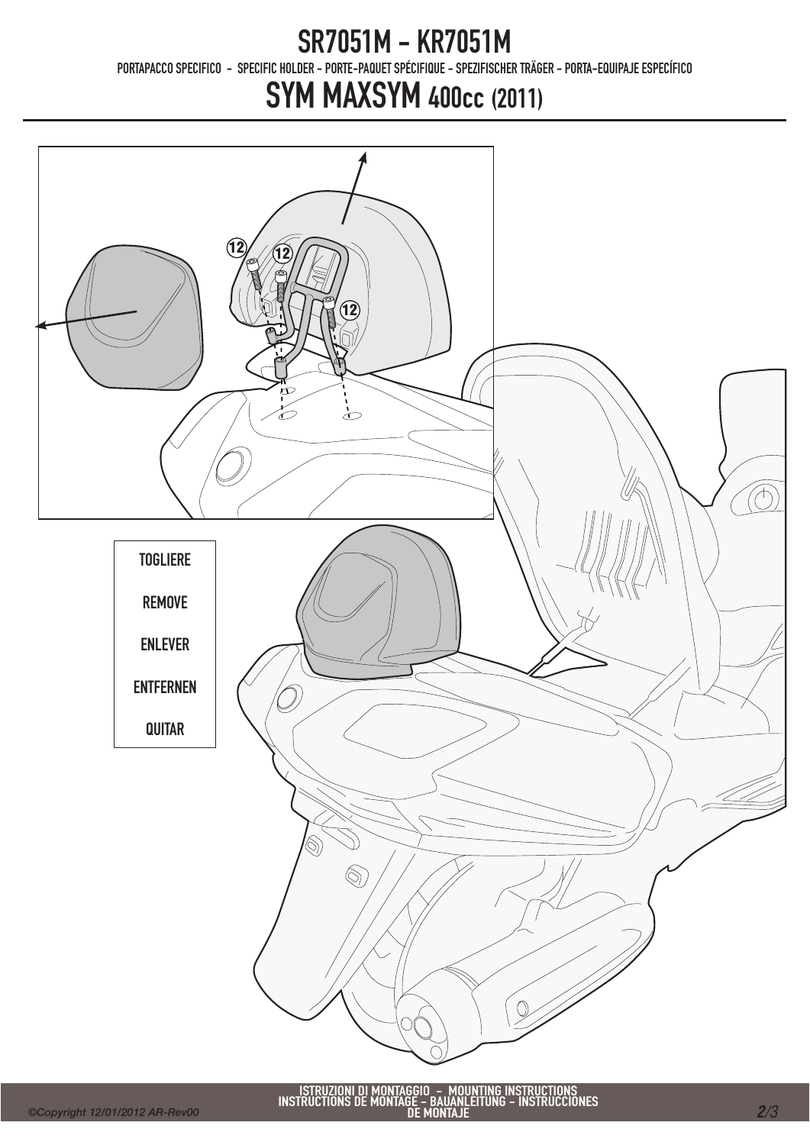#### SR7051M - KR7051M

PORTAPACCO SPECIFICO - SPECIFIC HOLDER - PORTE-PAQUET SPÉCIFIQUE - SPEZIFISCHER TRÄGER - PORTA-EQUIPAJE ESPECÍFICO

# SYM MAXSYM 400cc (2011)